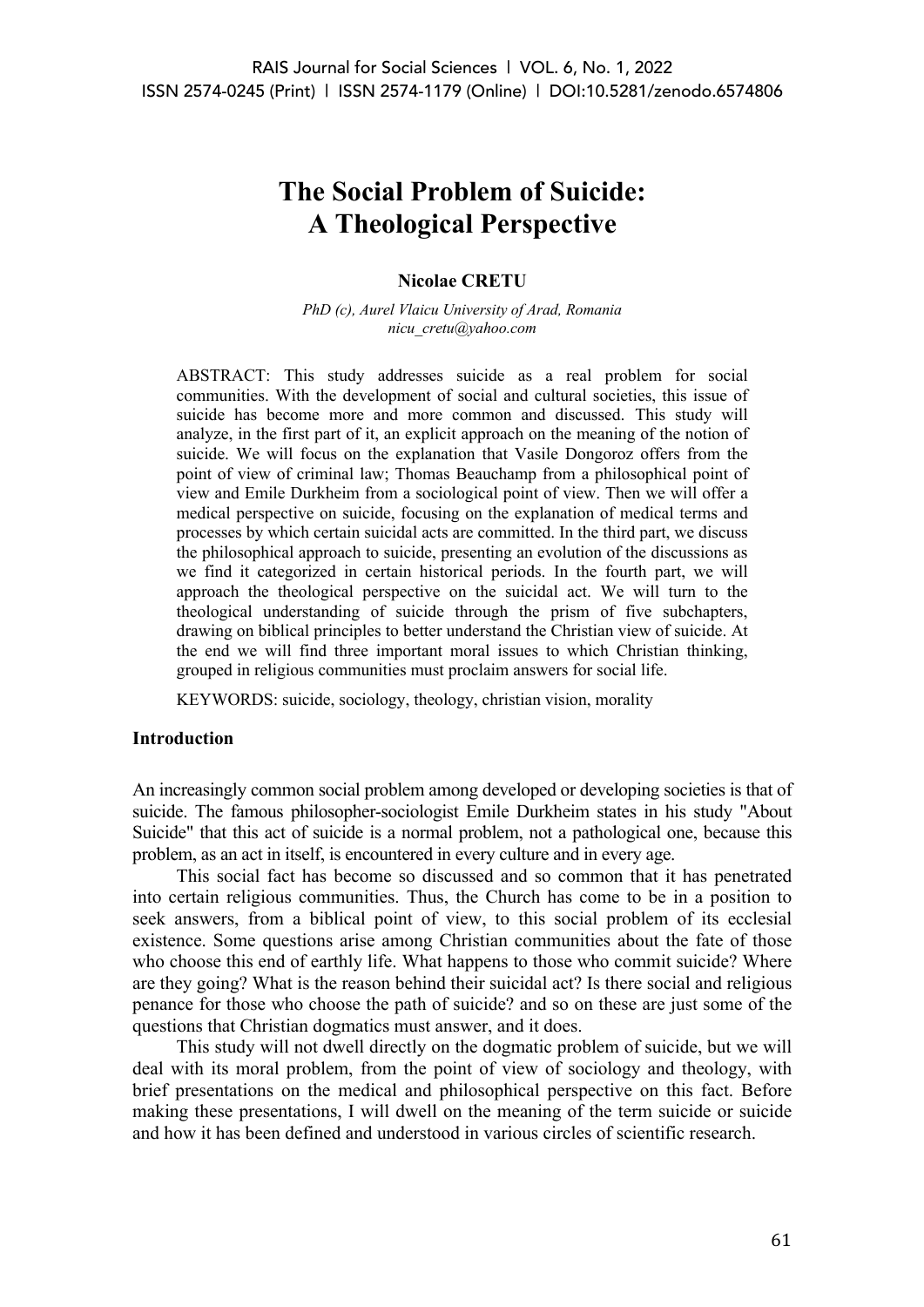# **The Social Problem of Suicide: A Theological Perspective**

#### **Nicolae CRETU**

*PhD (c), Aurel Vlaicu University of Arad, Romania nicu\_cretu@yahoo.com*

ABSTRACT: This study addresses suicide as a real problem for social communities. With the development of social and cultural societies, this issue of suicide has become more and more common and discussed. This study will analyze, in the first part of it, an explicit approach on the meaning of the notion of suicide. We will focus on the explanation that Vasile Dongoroz offers from the point of view of criminal law; Thomas Beauchamp from a philosophical point of view and Emile Durkheim from a sociological point of view. Then we will offer a medical perspective on suicide, focusing on the explanation of medical terms and processes by which certain suicidal acts are committed. In the third part, we discuss the philosophical approach to suicide, presenting an evolution of the discussions as we find it categorized in certain historical periods. In the fourth part, we will approach the theological perspective on the suicidal act. We will turn to the theological understanding of suicide through the prism of five subchapters, drawing on biblical principles to better understand the Christian view of suicide. At the end we will find three important moral issues to which Christian thinking, grouped in religious communities must proclaim answers for social life.

KEYWORDS: suicide, sociology, theology, christian vision, morality

#### **Introduction**

An increasingly common social problem among developed or developing societies is that of suicide. The famous philosopher-sociologist Emile Durkheim states in his study "About Suicide" that this act of suicide is a normal problem, not a pathological one, because this problem, as an act in itself, is encountered in every culture and in every age.

This social fact has become so discussed and so common that it has penetrated into certain religious communities. Thus, the Church has come to be in a position to seek answers, from a biblical point of view, to this social problem of its ecclesial existence. Some questions arise among Christian communities about the fate of those who choose this end of earthly life. What happens to those who commit suicide? Where are they going? What is the reason behind their suicidal act? Is there social and religious penance for those who choose the path of suicide? and so on these are just some of the questions that Christian dogmatics must answer, and it does.

This study will not dwell directly on the dogmatic problem of suicide, but we will deal with its moral problem, from the point of view of sociology and theology, with brief presentations on the medical and philosophical perspective on this fact. Before making these presentations, I will dwell on the meaning of the term suicide or suicide and how it has been defined and understood in various circles of scientific research.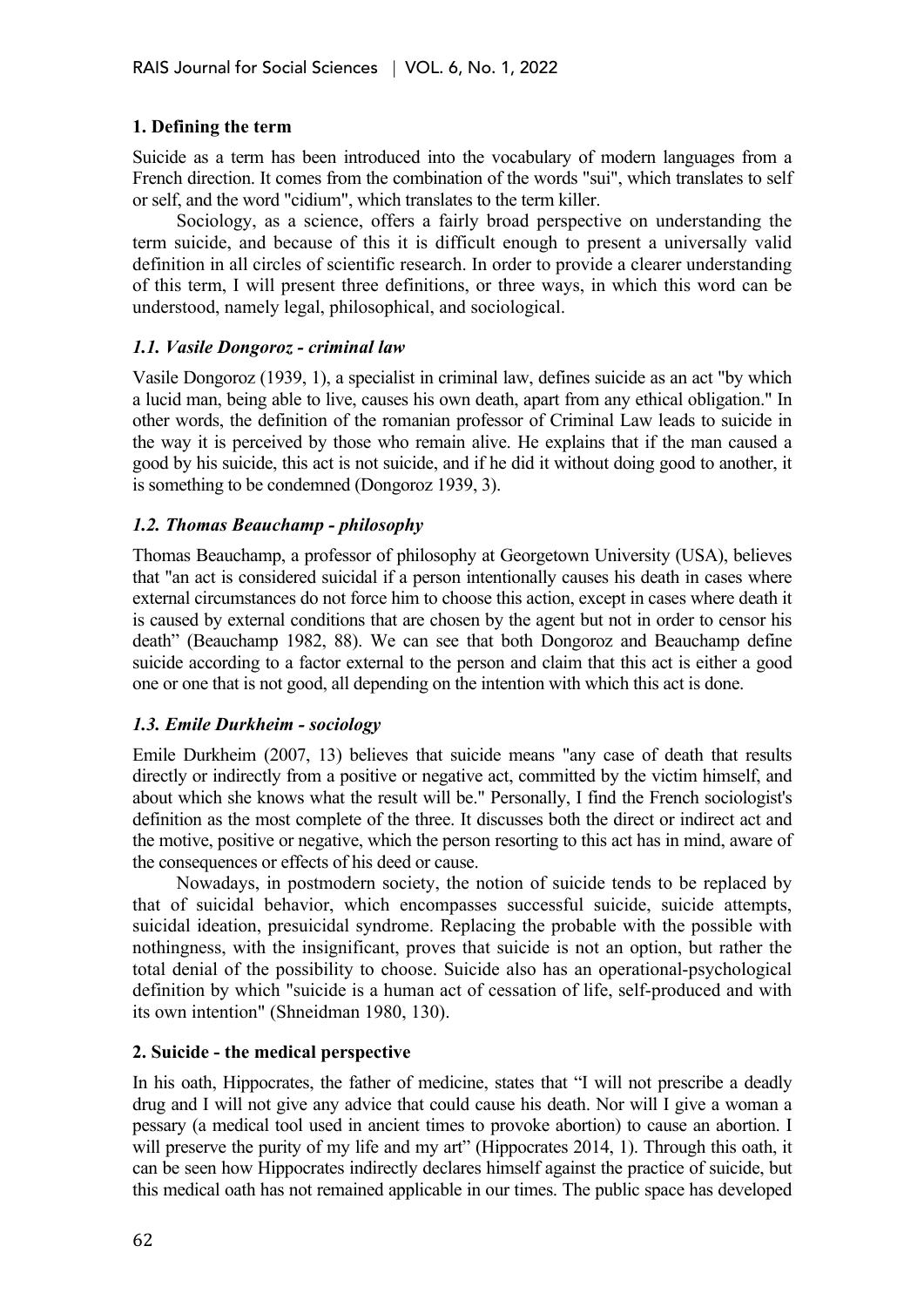#### **1. Defining the term**

Suicide as a term has been introduced into the vocabulary of modern languages from a French direction. It comes from the combination of the words "sui", which translates to self or self, and the word "cidium", which translates to the term killer.

Sociology, as a science, offers a fairly broad perspective on understanding the term suicide, and because of this it is difficult enough to present a universally valid definition in all circles of scientific research. In order to provide a clearer understanding of this term, I will present three definitions, or three ways, in which this word can be understood, namely legal, philosophical, and sociological.

#### *1.1. Vasile Dongoroz - criminal law*

Vasile Dongoroz (1939, 1), a specialist in criminal law, defines suicide as an act "by which a lucid man, being able to live, causes his own death, apart from any ethical obligation." In other words, the definition of the romanian professor of Criminal Law leads to suicide in the way it is perceived by those who remain alive. He explains that if the man caused a good by his suicide, this act is not suicide, and if he did it without doing good to another, it is something to be condemned (Dongoroz 1939, 3).

#### *1.2. Thomas Beauchamp - philosophy*

Thomas Beauchamp, a professor of philosophy at Georgetown University (USA), believes that "an act is considered suicidal if a person intentionally causes his death in cases where external circumstances do not force him to choose this action, except in cases where death it is caused by external conditions that are chosen by the agent but not in order to censor his death" (Beauchamp 1982, 88). We can see that both Dongoroz and Beauchamp define suicide according to a factor external to the person and claim that this act is either a good one or one that is not good, all depending on the intention with which this act is done.

## *1.3. Emile Durkheim - sociology*

Emile Durkheim (2007, 13) believes that suicide means "any case of death that results directly or indirectly from a positive or negative act, committed by the victim himself, and about which she knows what the result will be." Personally, I find the French sociologist's definition as the most complete of the three. It discusses both the direct or indirect act and the motive, positive or negative, which the person resorting to this act has in mind, aware of the consequences or effects of his deed or cause.

Nowadays, in postmodern society, the notion of suicide tends to be replaced by that of suicidal behavior, which encompasses successful suicide, suicide attempts, suicidal ideation, presuicidal syndrome. Replacing the probable with the possible with nothingness, with the insignificant, proves that suicide is not an option, but rather the total denial of the possibility to choose. Suicide also has an operational-psychological definition by which "suicide is a human act of cessation of life, self-produced and with its own intention" (Shneidman 1980, 130).

#### **2. Suicide - the medical perspective**

In his oath, Hippocrates, the father of medicine, states that "I will not prescribe a deadly drug and I will not give any advice that could cause his death. Nor will I give a woman a pessary (a medical tool used in ancient times to provoke abortion) to cause an abortion. I will preserve the purity of my life and my art" (Hippocrates 2014, 1). Through this oath, it can be seen how Hippocrates indirectly declares himself against the practice of suicide, but this medical oath has not remained applicable in our times. The public space has developed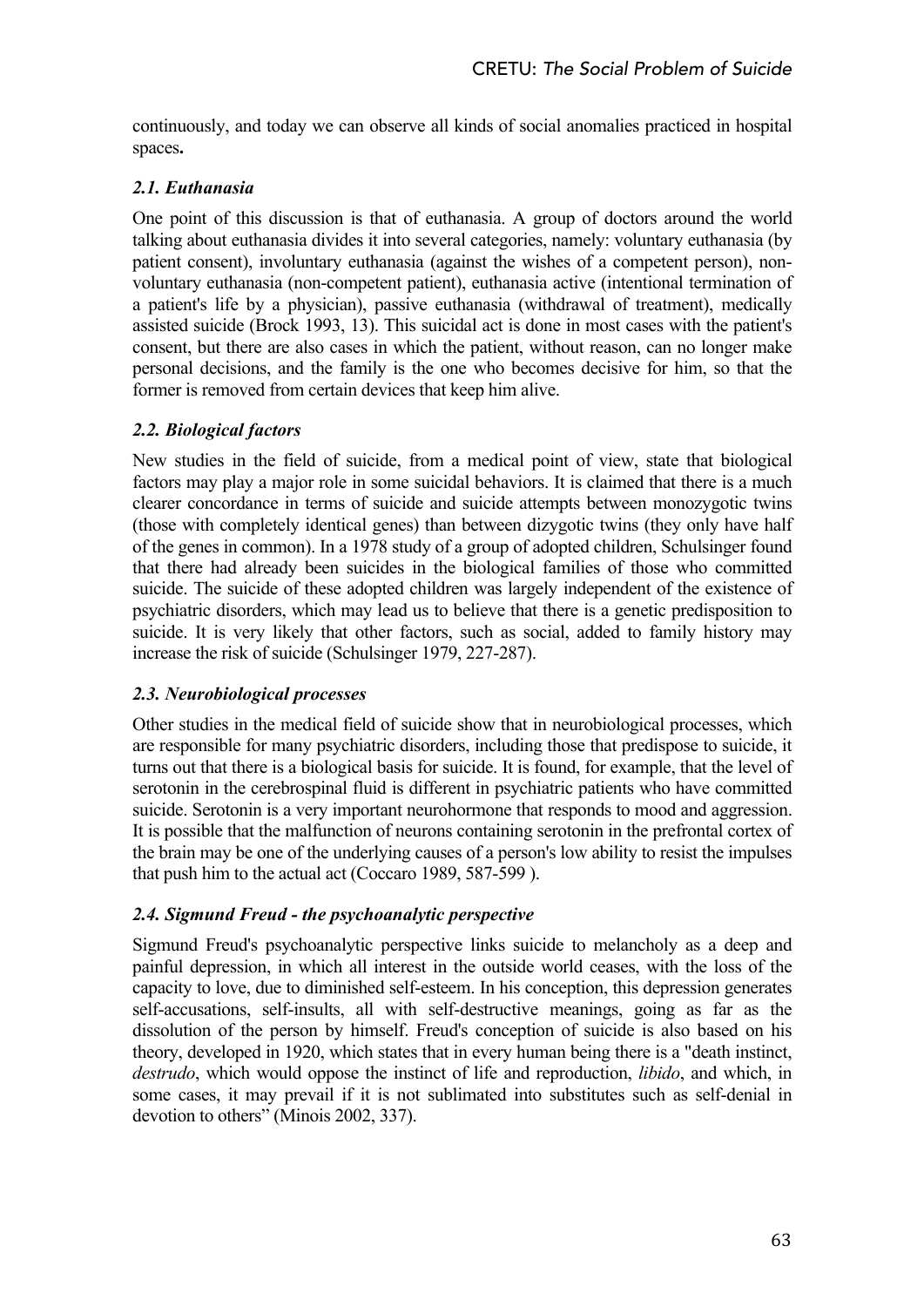continuously, and today we can observe all kinds of social anomalies practiced in hospital spaces**.**

## *2.1. Euthanasia*

One point of this discussion is that of euthanasia. A group of doctors around the world talking about euthanasia divides it into several categories, namely: voluntary euthanasia (by patient consent), involuntary euthanasia (against the wishes of a competent person), nonvoluntary euthanasia (non-competent patient), euthanasia active (intentional termination of a patient's life by a physician), passive euthanasia (withdrawal of treatment), medically assisted suicide (Brock 1993, 13). This suicidal act is done in most cases with the patient's consent, but there are also cases in which the patient, without reason, can no longer make personal decisions, and the family is the one who becomes decisive for him, so that the former is removed from certain devices that keep him alive.

## *2.2. Biological factors*

New studies in the field of suicide, from a medical point of view, state that biological factors may play a major role in some suicidal behaviors. It is claimed that there is a much clearer concordance in terms of suicide and suicide attempts between monozygotic twins (those with completely identical genes) than between dizygotic twins (they only have half of the genes in common). In a 1978 study of a group of adopted children, Schulsinger found that there had already been suicides in the biological families of those who committed suicide. The suicide of these adopted children was largely independent of the existence of psychiatric disorders, which may lead us to believe that there is a genetic predisposition to suicide. It is very likely that other factors, such as social, added to family history may increase the risk of suicide (Schulsinger 1979, 227-287).

## *2.3. Neurobiological processes*

Other studies in the medical field of suicide show that in neurobiological processes, which are responsible for many psychiatric disorders, including those that predispose to suicide, it turns out that there is a biological basis for suicide. It is found, for example, that the level of serotonin in the cerebrospinal fluid is different in psychiatric patients who have committed suicide. Serotonin is a very important neurohormone that responds to mood and aggression. It is possible that the malfunction of neurons containing serotonin in the prefrontal cortex of the brain may be one of the underlying causes of a person's low ability to resist the impulses that push him to the actual act (Coccaro 1989, 587-599 ).

# *2.4. Sigmund Freud - the psychoanalytic perspective*

Sigmund Freud's psychoanalytic perspective links suicide to melancholy as a deep and painful depression, in which all interest in the outside world ceases, with the loss of the capacity to love, due to diminished self-esteem. In his conception, this depression generates self-accusations, self-insults, all with self-destructive meanings, going as far as the dissolution of the person by himself. Freud's conception of suicide is also based on his theory, developed in 1920, which states that in every human being there is a "death instinct, *destrudo*, which would oppose the instinct of life and reproduction, *libido*, and which, in some cases, it may prevail if it is not sublimated into substitutes such as self-denial in devotion to others" (Minois 2002, 337).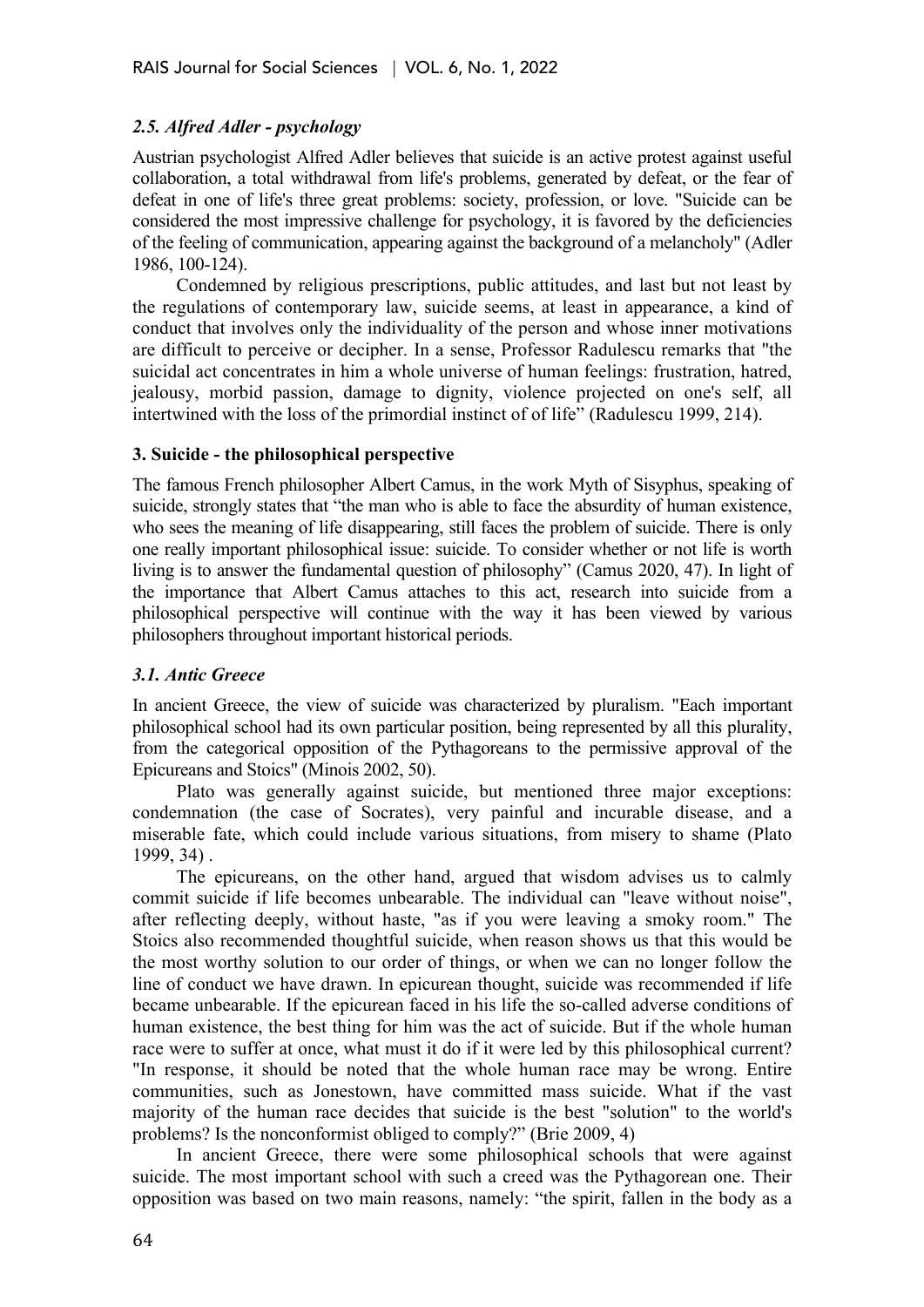## *2.5. Alfred Adler - psychology*

Austrian psychologist Alfred Adler believes that suicide is an active protest against useful collaboration, a total withdrawal from life's problems, generated by defeat, or the fear of defeat in one of life's three great problems: society, profession, or love. "Suicide can be considered the most impressive challenge for psychology, it is favored by the deficiencies of the feeling of communication, appearing against the background of a melancholy" (Adler 1986, 100-124).

Condemned by religious prescriptions, public attitudes, and last but not least by the regulations of contemporary law, suicide seems, at least in appearance, a kind of conduct that involves only the individuality of the person and whose inner motivations are difficult to perceive or decipher. In a sense, Professor Radulescu remarks that "the suicidal act concentrates in him a whole universe of human feelings: frustration, hatred, jealousy, morbid passion, damage to dignity, violence projected on one's self, all intertwined with the loss of the primordial instinct of of life" (Radulescu 1999, 214).

#### **3. Suicide - the philosophical perspective**

The famous French philosopher Albert Camus, in the work Myth of Sisyphus, speaking of suicide, strongly states that "the man who is able to face the absurdity of human existence, who sees the meaning of life disappearing, still faces the problem of suicide. There is only one really important philosophical issue: suicide. To consider whether or not life is worth living is to answer the fundamental question of philosophy" (Camus 2020, 47). In light of the importance that Albert Camus attaches to this act, research into suicide from a philosophical perspective will continue with the way it has been viewed by various philosophers throughout important historical periods.

#### *3.1. Antic Greece*

In ancient Greece, the view of suicide was characterized by pluralism. "Each important philosophical school had its own particular position, being represented by all this plurality, from the categorical opposition of the Pythagoreans to the permissive approval of the Epicureans and Stoics" (Minois 2002, 50).

Plato was generally against suicide, but mentioned three major exceptions: condemnation (the case of Socrates), very painful and incurable disease, and a miserable fate, which could include various situations, from misery to shame (Plato 1999, 34) .

The epicureans, on the other hand, argued that wisdom advises us to calmly commit suicide if life becomes unbearable. The individual can "leave without noise", after reflecting deeply, without haste, "as if you were leaving a smoky room." The Stoics also recommended thoughtful suicide, when reason shows us that this would be the most worthy solution to our order of things, or when we can no longer follow the line of conduct we have drawn. In epicurean thought, suicide was recommended if life became unbearable. If the epicurean faced in his life the so-called adverse conditions of human existence, the best thing for him was the act of suicide. But if the whole human race were to suffer at once, what must it do if it were led by this philosophical current? "In response, it should be noted that the whole human race may be wrong. Entire communities, such as Jonestown, have committed mass suicide. What if the vast majority of the human race decides that suicide is the best "solution" to the world's problems? Is the nonconformist obliged to comply?" (Brie 2009, 4)

In ancient Greece, there were some philosophical schools that were against suicide. The most important school with such a creed was the Pythagorean one. Their opposition was based on two main reasons, namely: "the spirit, fallen in the body as a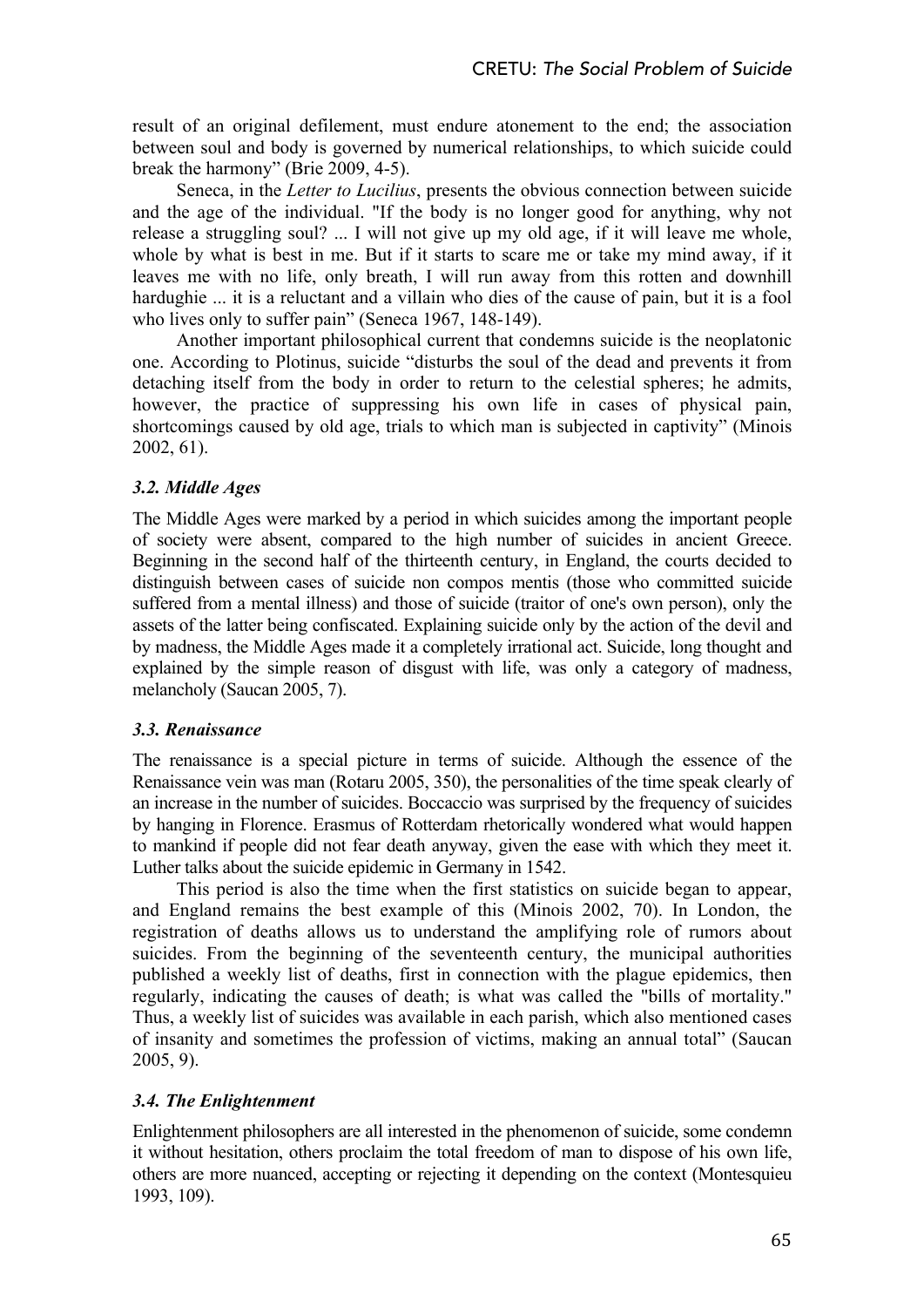result of an original defilement, must endure atonement to the end; the association between soul and body is governed by numerical relationships, to which suicide could break the harmony" (Brie 2009, 4-5).

Seneca, in the *Letter to Lucilius*, presents the obvious connection between suicide and the age of the individual. "If the body is no longer good for anything, why not release a struggling soul? ... I will not give up my old age, if it will leave me whole, whole by what is best in me. But if it starts to scare me or take my mind away, if it leaves me with no life, only breath, I will run away from this rotten and downhill hardughie ... it is a reluctant and a villain who dies of the cause of pain, but it is a fool who lives only to suffer pain" (Seneca 1967, 148-149).

Another important philosophical current that condemns suicide is the neoplatonic one. According to Plotinus, suicide "disturbs the soul of the dead and prevents it from detaching itself from the body in order to return to the celestial spheres; he admits, however, the practice of suppressing his own life in cases of physical pain, shortcomings caused by old age, trials to which man is subjected in captivity" (Minois 2002, 61).

## *3.2. Middle Ages*

The Middle Ages were marked by a period in which suicides among the important people of society were absent, compared to the high number of suicides in ancient Greece. Beginning in the second half of the thirteenth century, in England, the courts decided to distinguish between cases of suicide non compos mentis (those who committed suicide suffered from a mental illness) and those of suicide (traitor of one's own person), only the assets of the latter being confiscated. Explaining suicide only by the action of the devil and by madness, the Middle Ages made it a completely irrational act. Suicide, long thought and explained by the simple reason of disgust with life, was only a category of madness, melancholy (Saucan 2005, 7).

## *3.3. Renaissance*

The renaissance is a special picture in terms of suicide. Although the essence of the Renaissance vein was man (Rotaru 2005, 350), the personalities of the time speak clearly of an increase in the number of suicides. Boccaccio was surprised by the frequency of suicides by hanging in Florence. Erasmus of Rotterdam rhetorically wondered what would happen to mankind if people did not fear death anyway, given the ease with which they meet it. Luther talks about the suicide epidemic in Germany in 1542.

This period is also the time when the first statistics on suicide began to appear, and England remains the best example of this (Minois 2002, 70). In London, the registration of deaths allows us to understand the amplifying role of rumors about suicides. From the beginning of the seventeenth century, the municipal authorities published a weekly list of deaths, first in connection with the plague epidemics, then regularly, indicating the causes of death; is what was called the "bills of mortality." Thus, a weekly list of suicides was available in each parish, which also mentioned cases of insanity and sometimes the profession of victims, making an annual total" (Saucan 2005, 9).

## *3.4. The Enlightenment*

Enlightenment philosophers are all interested in the phenomenon of suicide, some condemn it without hesitation, others proclaim the total freedom of man to dispose of his own life, others are more nuanced, accepting or rejecting it depending on the context (Montesquieu 1993, 109).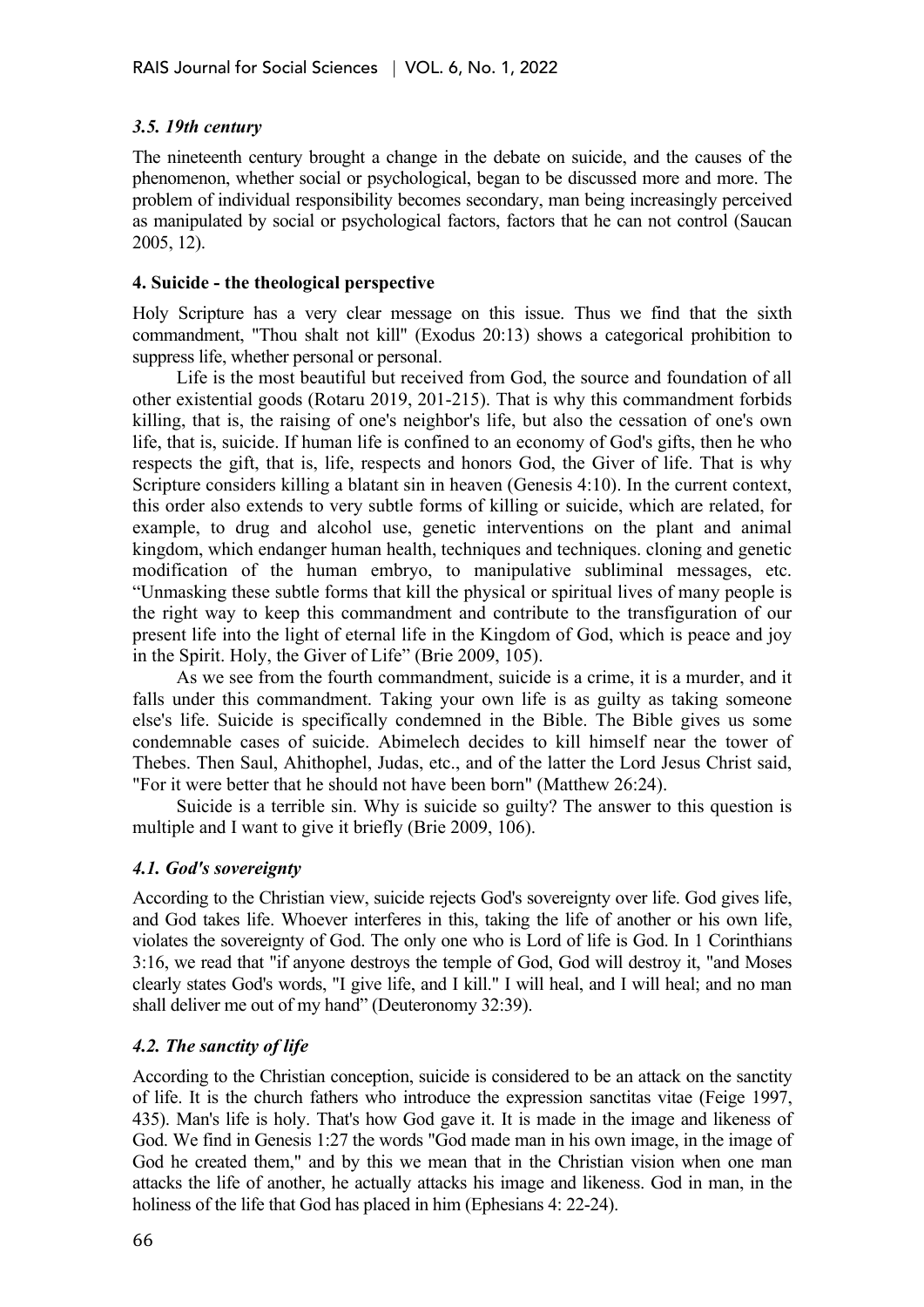## *3.5. 19th century*

The nineteenth century brought a change in the debate on suicide, and the causes of the phenomenon, whether social or psychological, began to be discussed more and more. The problem of individual responsibility becomes secondary, man being increasingly perceived as manipulated by social or psychological factors, factors that he can not control (Saucan 2005, 12).

#### **4. Suicide - the theological perspective**

Holy Scripture has a very clear message on this issue. Thus we find that the sixth commandment, "Thou shalt not kill" (Exodus 20:13) shows a categorical prohibition to suppress life, whether personal or personal.

Life is the most beautiful but received from God, the source and foundation of all other existential goods (Rotaru 2019, 201-215). That is why this commandment forbids killing, that is, the raising of one's neighbor's life, but also the cessation of one's own life, that is, suicide. If human life is confined to an economy of God's gifts, then he who respects the gift, that is, life, respects and honors God, the Giver of life. That is why Scripture considers killing a blatant sin in heaven (Genesis 4:10). In the current context, this order also extends to very subtle forms of killing or suicide, which are related, for example, to drug and alcohol use, genetic interventions on the plant and animal kingdom, which endanger human health, techniques and techniques. cloning and genetic modification of the human embryo, to manipulative subliminal messages, etc. "Unmasking these subtle forms that kill the physical or spiritual lives of many people is the right way to keep this commandment and contribute to the transfiguration of our present life into the light of eternal life in the Kingdom of God, which is peace and joy in the Spirit. Holy, the Giver of Life" (Brie 2009, 105).

As we see from the fourth commandment, suicide is a crime, it is a murder, and it falls under this commandment. Taking your own life is as guilty as taking someone else's life. Suicide is specifically condemned in the Bible. The Bible gives us some condemnable cases of suicide. Abimelech decides to kill himself near the tower of Thebes. Then Saul, Ahithophel, Judas, etc., and of the latter the Lord Jesus Christ said, "For it were better that he should not have been born" (Matthew 26:24).

Suicide is a terrible sin. Why is suicide so guilty? The answer to this question is multiple and I want to give it briefly (Brie 2009, 106).

## *4.1. God's sovereignty*

According to the Christian view, suicide rejects God's sovereignty over life. God gives life, and God takes life. Whoever interferes in this, taking the life of another or his own life, violates the sovereignty of God. The only one who is Lord of life is God. In 1 Corinthians 3:16, we read that "if anyone destroys the temple of God, God will destroy it, "and Moses clearly states God's words, "I give life, and I kill." I will heal, and I will heal; and no man shall deliver me out of my hand" (Deuteronomy 32:39).

## *4.2. The sanctity of life*

According to the Christian conception, suicide is considered to be an attack on the sanctity of life. It is the church fathers who introduce the expression sanctitas vitae (Feige 1997, 435). Man's life is holy. That's how God gave it. It is made in the image and likeness of God. We find in Genesis 1:27 the words "God made man in his own image, in the image of God he created them," and by this we mean that in the Christian vision when one man attacks the life of another, he actually attacks his image and likeness. God in man, in the holiness of the life that God has placed in him (Ephesians 4: 22-24).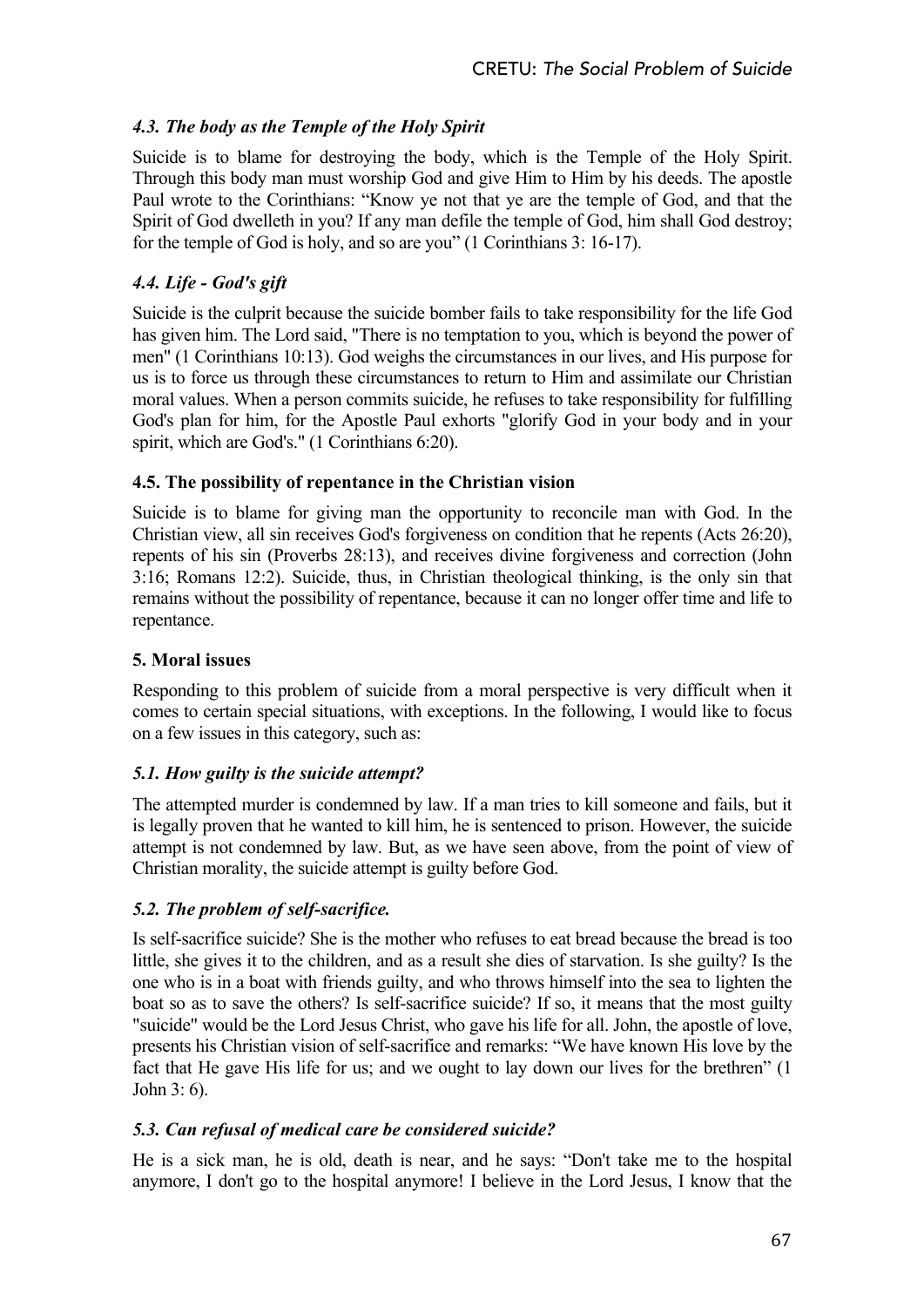# *4.3. The body as the Temple of the Holy Spirit*

Suicide is to blame for destroying the body, which is the Temple of the Holy Spirit. Through this body man must worship God and give Him to Him by his deeds. The apostle Paul wrote to the Corinthians: "Know ye not that ye are the temple of God, and that the Spirit of God dwelleth in you? If any man defile the temple of God, him shall God destroy; for the temple of God is holy, and so are you" (1 Corinthians 3: 16-17).

# *4.4. Life - God's gift*

Suicide is the culprit because the suicide bomber fails to take responsibility for the life God has given him. The Lord said, "There is no temptation to you, which is beyond the power of men" (1 Corinthians 10:13). God weighs the circumstances in our lives, and His purpose for us is to force us through these circumstances to return to Him and assimilate our Christian moral values. When a person commits suicide, he refuses to take responsibility for fulfilling God's plan for him, for the Apostle Paul exhorts "glorify God in your body and in your spirit, which are God's." (1 Corinthians 6:20).

## **4.5. The possibility of repentance in the Christian vision**

Suicide is to blame for giving man the opportunity to reconcile man with God. In the Christian view, all sin receives God's forgiveness on condition that he repents (Acts 26:20), repents of his sin (Proverbs 28:13), and receives divine forgiveness and correction (John 3:16; Romans 12:2). Suicide, thus, in Christian theological thinking, is the only sin that remains without the possibility of repentance, because it can no longer offer time and life to repentance.

## **5. Moral issues**

Responding to this problem of suicide from a moral perspective is very difficult when it comes to certain special situations, with exceptions. In the following, I would like to focus on a few issues in this category, such as:

# *5.1. How guilty is the suicide attempt?*

The attempted murder is condemned by law. If a man tries to kill someone and fails, but it is legally proven that he wanted to kill him, he is sentenced to prison. However, the suicide attempt is not condemned by law. But, as we have seen above, from the point of view of Christian morality, the suicide attempt is guilty before God.

# *5.2. The problem of self-sacrifice.*

Is self-sacrifice suicide? She is the mother who refuses to eat bread because the bread is too little, she gives it to the children, and as a result she dies of starvation. Is she guilty? Is the one who is in a boat with friends guilty, and who throws himself into the sea to lighten the boat so as to save the others? Is self-sacrifice suicide? If so, it means that the most guilty "suicide" would be the Lord Jesus Christ, who gave his life for all. John, the apostle of love, presents his Christian vision of self-sacrifice and remarks: "We have known His love by the fact that He gave His life for us; and we ought to lay down our lives for the brethren" (1 John 3: 6).

# *5.3. Can refusal of medical care be considered suicide?*

He is a sick man, he is old, death is near, and he says: "Don't take me to the hospital anymore, I don't go to the hospital anymore! I believe in the Lord Jesus, I know that the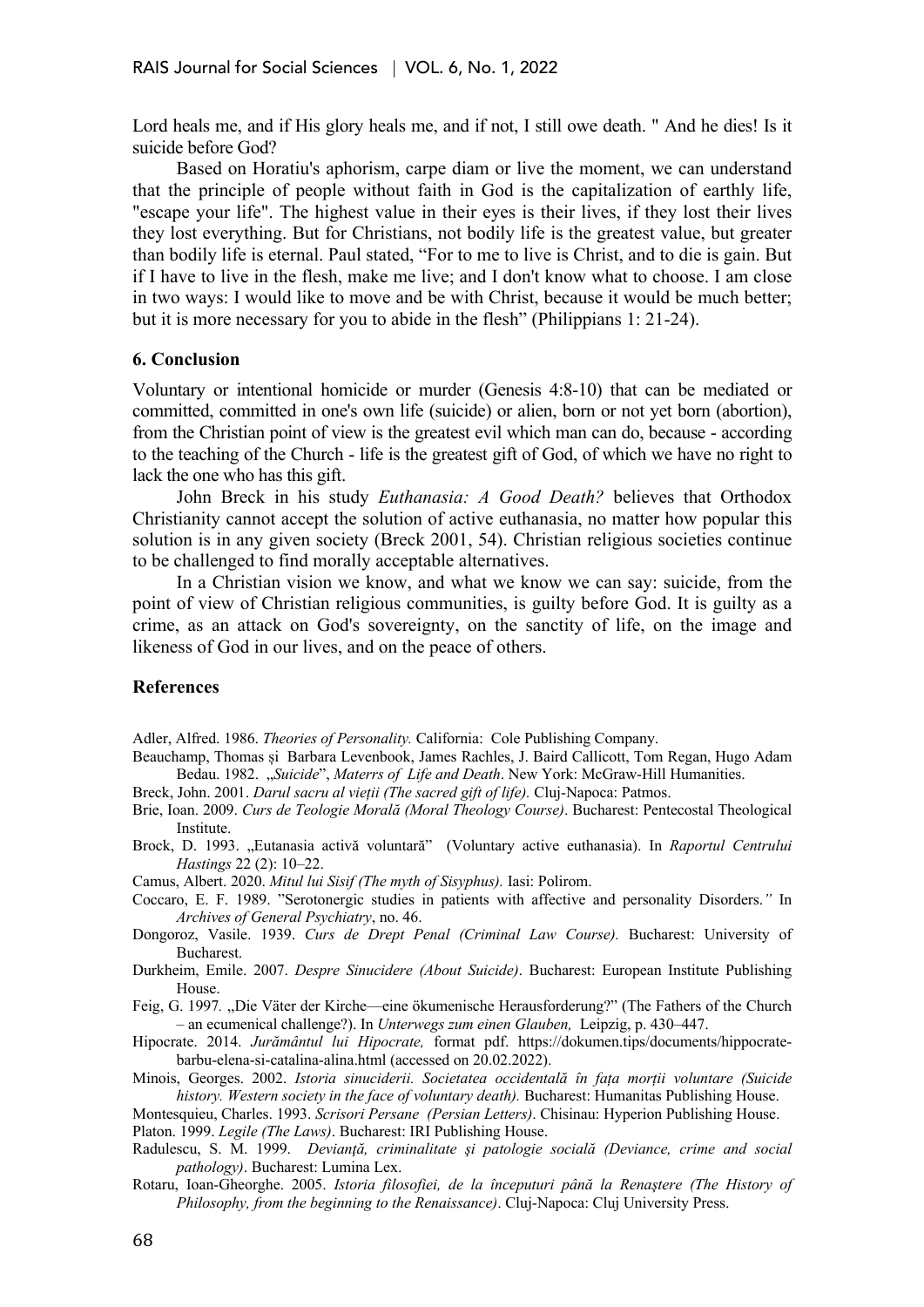Lord heals me, and if His glory heals me, and if not, I still owe death. " And he dies! Is it suicide before God?

Based on Horatiu's aphorism, carpe diam or live the moment, we can understand that the principle of people without faith in God is the capitalization of earthly life, "escape your life". The highest value in their eyes is their lives, if they lost their lives they lost everything. But for Christians, not bodily life is the greatest value, but greater than bodily life is eternal. Paul stated, "For to me to live is Christ, and to die is gain. But if I have to live in the flesh, make me live; and I don't know what to choose. I am close in two ways: I would like to move and be with Christ, because it would be much better; but it is more necessary for you to abide in the flesh" (Philippians 1: 21-24).

#### **6. Conclusion**

Voluntary or intentional homicide or murder (Genesis 4:8-10) that can be mediated or committed, committed in one's own life (suicide) or alien, born or not yet born (abortion), from the Christian point of view is the greatest evil which man can do, because - according to the teaching of the Church - life is the greatest gift of God, of which we have no right to lack the one who has this gift.

John Breck in his study *Euthanasia: A Good Death?* believes that Orthodox Christianity cannot accept the solution of active euthanasia, no matter how popular this solution is in any given society (Breck 2001, 54). Christian religious societies continue to be challenged to find morally acceptable alternatives.

In a Christian vision we know, and what we know we can say: suicide, from the point of view of Christian religious communities, is guilty before God. It is guilty as a crime, as an attack on God's sovereignty, on the sanctity of life, on the image and likeness of God in our lives, and on the peace of others.

#### **References**

Adler, Alfred. 1986. *Theories of Personality.* California: Cole Publishing Company.

Beauchamp, Thomas și Barbara Levenbook, James Rachles, J. Baird Callicott, Tom Regan, Hugo Adam Bedau. 1982. "*Suicide*", *Materrs of Life and Death*. New York: McGraw-Hill Humanities.

Breck, John. 2001. *Darul sacru al vieții (The sacred gift of life).* Cluj-Napoca: Patmos.

- Brie, Ioan. 2009. *Curs de Teologie Morală (Moral Theology Course)*. Bucharest: Pentecostal Theological Institute.
- Brock, D. 1993. "Eutanasia activă voluntară" (Voluntary active euthanasia). In *Raportul Centrului Hastings* 22 (2): 10–22.
- Camus, Albert. 2020. *Mitul lui Sisif (The myth of Sisyphus).* Iasi: Polirom.
- Coccaro, E. F. 1989. "Serotonergic studies in patients with affective and personality Disorders.*"* In *Archives of General Psychiatry*, no. 46.
- Dongoroz, Vasile. 1939. *Curs de Drept Penal (Criminal Law Course).* Bucharest: University of Bucharest.
- Durkheim, Emile. 2007. *Despre Sinucidere (About Suicide)*. Bucharest: European Institute Publishing House.
- Feig, G. 1997*.* ,,Die Väter der Kirche—eine ökumenische Herausforderung?" (The Fathers of the Church – an ecumenical challenge?). In *Unterwegs zum einen Glauben,* Leipzig, p. 430–447.
- Hipocrate. 2014. *Jurământul lui Hipocrate,* format pdf. https://dokumen.tips/documents/hippocratebarbu-elena-si-catalina-alina.html (accessed on 20.02.2022).
- Minois, Georges. 2002. *Istoria sinuciderii. Societatea occidentală în fața morții voluntare (Suicide history. Western society in the face of voluntary death).* Bucharest: Humanitas Publishing House.

Montesquieu, Charles. 1993. *Scrisori Persane (Persian Letters)*. Chisinau: Hyperion Publishing House. Platon. 1999. *Legile (The Laws)*. Bucharest: IRI Publishing House.

- Radulescu, S. M. 1999. *Devianţă, criminalitate şi patologie socială (Deviance, crime and social pathology)*. Bucharest: Lumina Lex.
- Rotaru, Ioan-Gheorghe. 2005. *Istoria filosofiei, de la începuturi până la Renaştere (The History of Philosophy, from the beginning to the Renaissance)*. Cluj-Napoca: Cluj University Press.